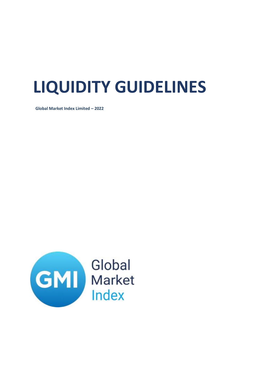## **LIQUIDITY GUIDELINES**

**Global Market Index Limited – 2022**